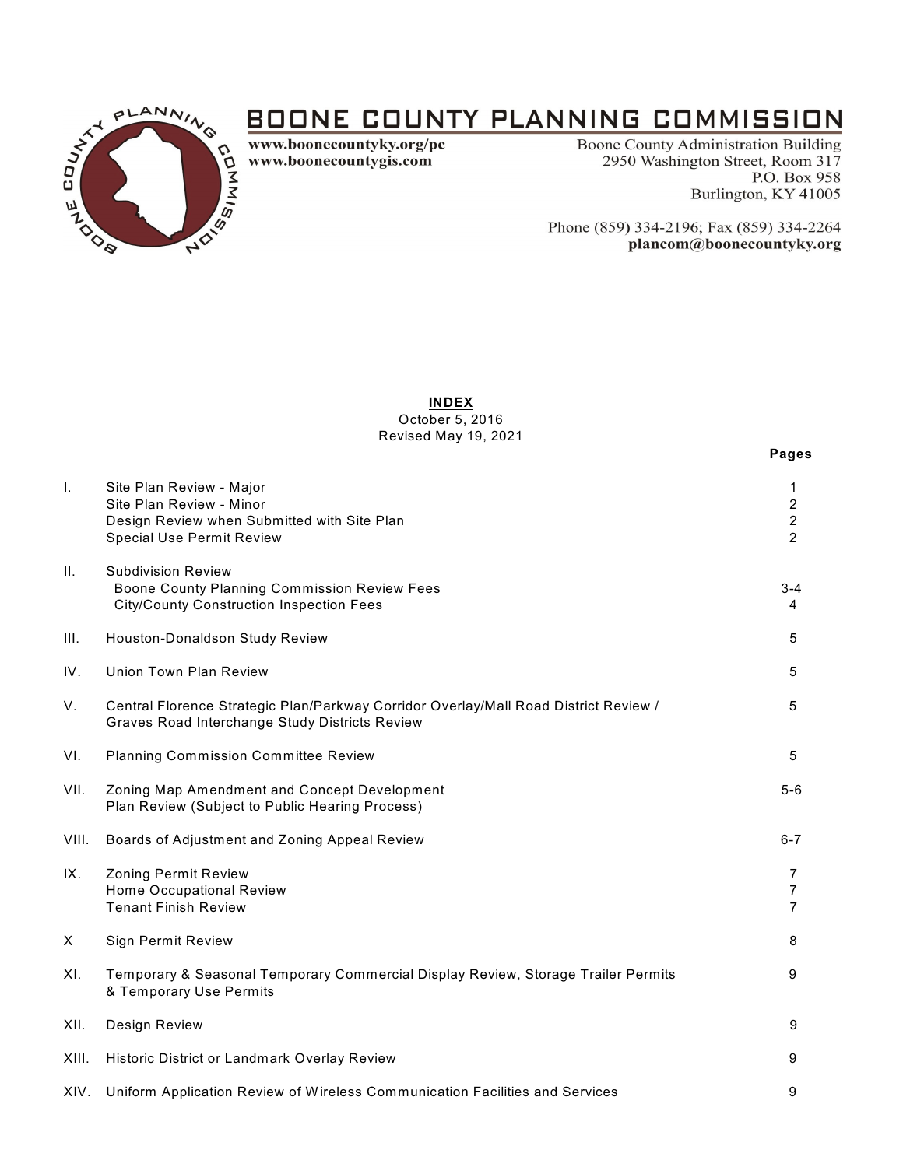

# **BOONE COUNTY PLANNING COMMISSION**

www.boonecountyky.org/pc www.boonecountygis.com

**Boone County Administration Building** 2950 Washington Street, Room 317 P.O. Box 958 Burlington, KY 41005

Phone (859) 334-2196; Fax (859) 334-2264 plancom@boonecountyky.org

## **INDEX**

October 5, 2016 Revised May 19, 2021

|         |                                                                                                                                         | Pages                                      |
|---------|-----------------------------------------------------------------------------------------------------------------------------------------|--------------------------------------------|
| Τ.      | Site Plan Review - Major<br>Site Plan Review - Minor<br>Design Review when Submitted with Site Plan<br><b>Special Use Permit Review</b> | 1<br>$\overline{2}$<br>$\overline{2}$<br>2 |
| $\Pi$ . | <b>Subdivision Review</b><br>Boone County Planning Commission Review Fees<br><b>City/County Construction Inspection Fees</b>            | $3 - 4$<br>4                               |
| III.    | Houston-Donaldson Study Review                                                                                                          | 5                                          |
| IV.     | <b>Union Town Plan Review</b>                                                                                                           | 5                                          |
| V.      | Central Florence Strategic Plan/Parkway Corridor Overlay/Mall Road District Review /<br>Graves Road Interchange Study Districts Review  | 5                                          |
| VI.     | <b>Planning Commission Committee Review</b>                                                                                             | 5                                          |
| VII.    | Zoning Map Amendment and Concept Development<br>Plan Review (Subject to Public Hearing Process)                                         | $5-6$                                      |
| VIII.   | Boards of Adjustment and Zoning Appeal Review                                                                                           | $6 - 7$                                    |
| IX.     | Zoning Permit Review<br><b>Home Occupational Review</b><br><b>Tenant Finish Review</b>                                                  | 7<br>$\overline{7}$<br>$\overline{7}$      |
| X       | <b>Sign Permit Review</b>                                                                                                               | 8                                          |
| XI.     | Temporary & Seasonal Temporary Commercial Display Review, Storage Trailer Permits<br>& Temporary Use Permits                            | 9                                          |
| XII.    | Design Review                                                                                                                           | 9                                          |
| XIII.   | Historic District or Landmark Overlay Review                                                                                            | 9                                          |
| XIV.    | Uniform Application Review of Wireless Communication Facilities and Services                                                            | 9                                          |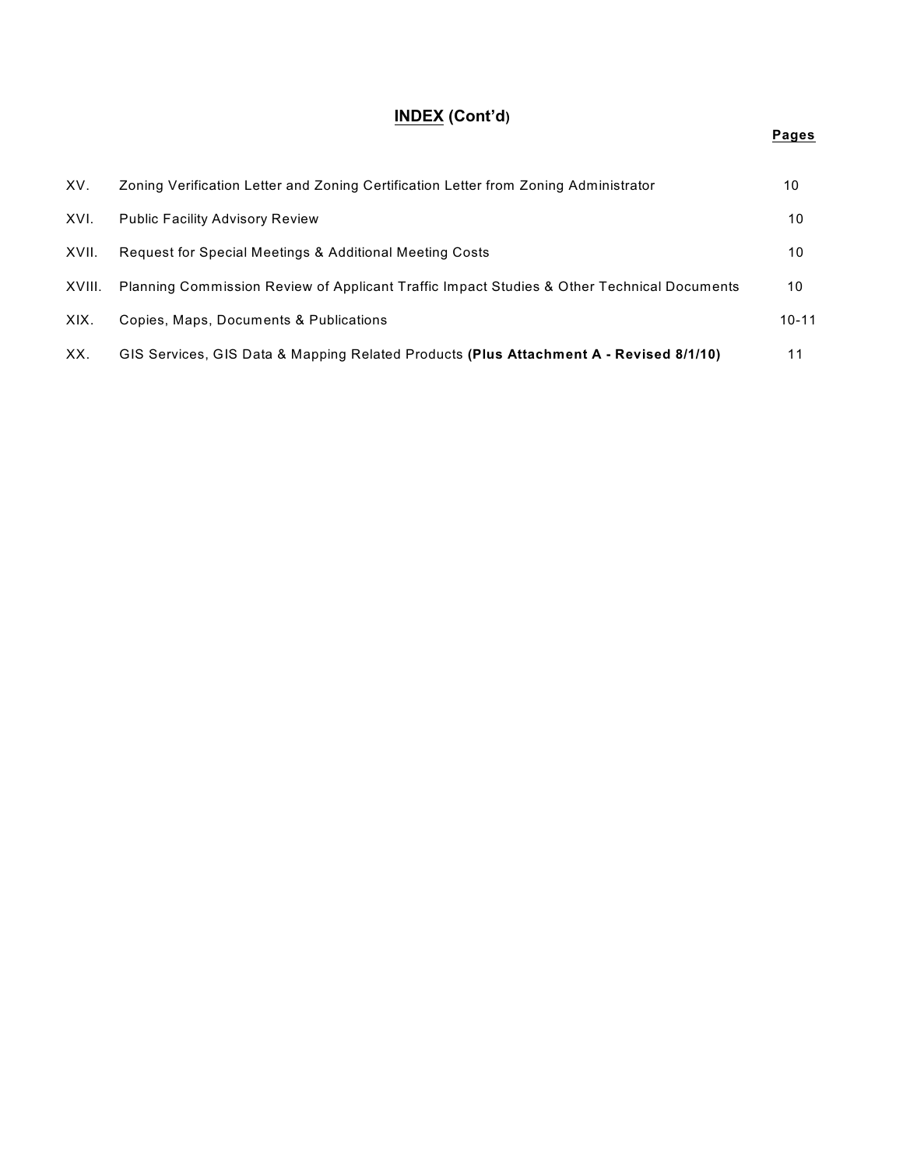## **INDEX (Cont'd)**

| XV.    | Zoning Verification Letter and Zoning Certification Letter from Zoning Administrator       | 10        |
|--------|--------------------------------------------------------------------------------------------|-----------|
| XVI.   | <b>Public Facility Advisory Review</b>                                                     | 10        |
| XVII.  | Request for Special Meetings & Additional Meeting Costs                                    | 10        |
| XVIII. | Planning Commission Review of Applicant Traffic Impact Studies & Other Technical Documents | 10        |
| XIX.   | Copies, Maps, Documents & Publications                                                     | $10 - 11$ |
| XX.    | GIS Services, GIS Data & Mapping Related Products (Plus Attachment A - Revised 8/1/10)     | 11        |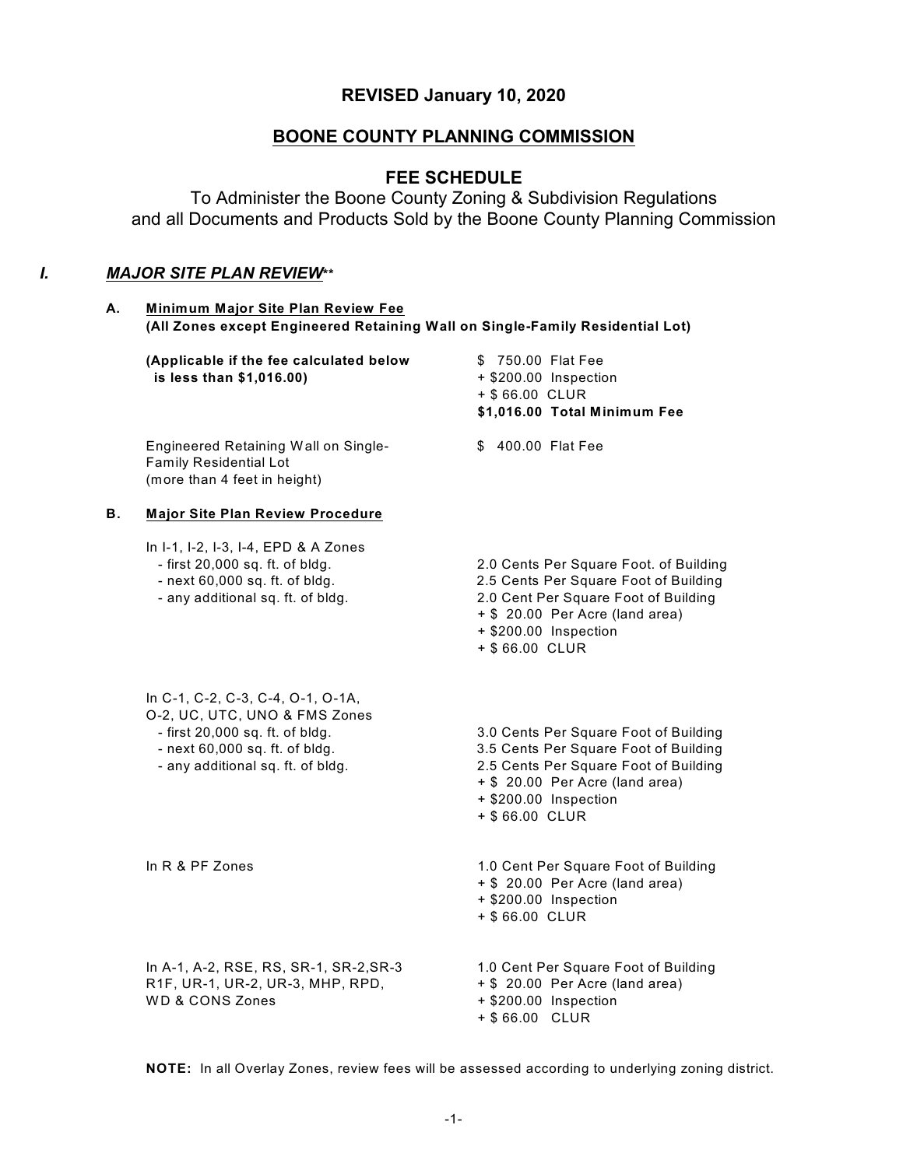## **REVISED January 10, 2020**

## **BOONE COUNTY PLANNING COMMISSION**

## **FEE SCHEDULE**

To Administer the Boone County Zoning & Subdivision Regulations and all Documents and Products Sold by the Boone County Planning Commission

## *I. MAJOR SITE PLAN REVIEW***\*\***

| А. | Minimum Major Site Plan Review Fee<br>(All Zones except Engineered Retaining Wall on Single-Family Residential Lot)                                                          |                                                                                                                                                                                                       |
|----|------------------------------------------------------------------------------------------------------------------------------------------------------------------------------|-------------------------------------------------------------------------------------------------------------------------------------------------------------------------------------------------------|
|    | (Applicable if the fee calculated below<br>is less than \$1,016.00)                                                                                                          | \$750.00 Flat Fee<br>+ \$200.00 Inspection<br>+ \$66.00 CLUR<br>\$1,016.00 Total Minimum Fee                                                                                                          |
|    | Engineered Retaining Wall on Single-<br><b>Family Residential Lot</b><br>(more than 4 feet in height)                                                                        | \$ 400.00 Flat Fee                                                                                                                                                                                    |
| В. | <b>Major Site Plan Review Procedure</b>                                                                                                                                      |                                                                                                                                                                                                       |
|    | In I-1, I-2, I-3, I-4, EPD & A Zones<br>- first 20,000 sq. ft. of bldg.<br>- next 60,000 sq. ft. of bldg.<br>- any additional sq. ft. of bldg.                               | 2.0 Cents Per Square Foot. of Building<br>2.5 Cents Per Square Foot of Building<br>2.0 Cent Per Square Foot of Building<br>+ \$ 20.00 Per Acre (land area)<br>+ \$200.00 Inspection<br>+ \$66.00 CLUR |
|    | In C-1, C-2, C-3, C-4, O-1, O-1A,<br>O-2, UC, UTC, UNO & FMS Zones<br>- first 20,000 sq. ft. of bldg.<br>- next 60,000 sq. ft. of bldg.<br>- any additional sq. ft. of bldg. | 3.0 Cents Per Square Foot of Building<br>3.5 Cents Per Square Foot of Building<br>2.5 Cents Per Square Foot of Building<br>+ \$ 20.00 Per Acre (land area)<br>+ \$200.00 Inspection<br>+ \$66.00 CLUR |
|    | In R & PF Zones                                                                                                                                                              | 1.0 Cent Per Square Foot of Building<br>+ \$ 20.00 Per Acre (land area)<br>+ \$200.00 Inspection<br>+ \$66.00 CLUR                                                                                    |
|    | In A-1, A-2, RSE, RS, SR-1, SR-2, SR-3<br>R1F, UR-1, UR-2, UR-3, MHP, RPD,<br><b>WD &amp; CONS Zones</b>                                                                     | 1.0 Cent Per Square Foot of Building<br>+ \$ 20.00 Per Acre (land area)<br>+ \$200.00 Inspection<br>+ \$66.00 CLUR                                                                                    |

**NOTE:** In all Overlay Zones, review fees will be assessed according to underlying zoning district.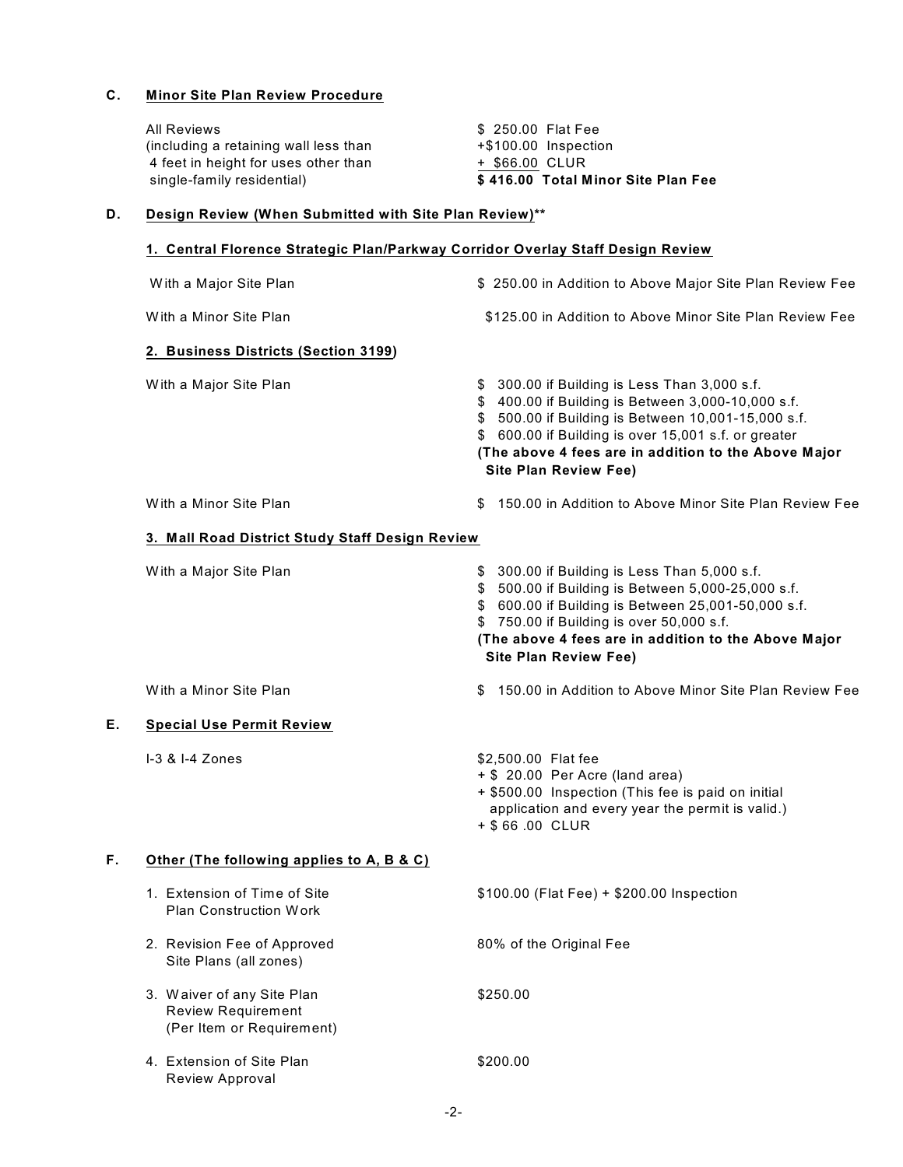#### **C. Minor Site Plan Review Procedure**

|    | <b>All Reviews</b><br>(including a retaining wall less than<br>4 feet in height for uses other than<br>single-family residential) | \$ 250.00 Flat Fee<br>+\$100.00 Inspection<br>+ \$66.00 CLUR<br>\$416.00 Total Minor Site Plan Fee                                                                                                                                                                                                         |  |
|----|-----------------------------------------------------------------------------------------------------------------------------------|------------------------------------------------------------------------------------------------------------------------------------------------------------------------------------------------------------------------------------------------------------------------------------------------------------|--|
| D. | Design Review (When Submitted with Site Plan Review)**                                                                            |                                                                                                                                                                                                                                                                                                            |  |
|    | 1. Central Florence Strategic Plan/Parkway Corridor Overlay Staff Design Review                                                   |                                                                                                                                                                                                                                                                                                            |  |
|    | With a Major Site Plan                                                                                                            | \$ 250.00 in Addition to Above Major Site Plan Review Fee                                                                                                                                                                                                                                                  |  |
|    | With a Minor Site Plan                                                                                                            | \$125.00 in Addition to Above Minor Site Plan Review Fee                                                                                                                                                                                                                                                   |  |
|    | 2. Business Districts (Section 3199)                                                                                              |                                                                                                                                                                                                                                                                                                            |  |
|    | With a Major Site Plan                                                                                                            | \$ 300.00 if Building is Less Than 3,000 s.f.<br>\$ 400.00 if Building is Between 3,000-10,000 s.f.<br>\$ 500.00 if Building is Between 10,001-15,000 s.f.<br>\$ 600.00 if Building is over 15,001 s.f. or greater<br>(The above 4 fees are in addition to the Above Major<br><b>Site Plan Review Fee)</b> |  |
|    | With a Minor Site Plan                                                                                                            | 150.00 in Addition to Above Minor Site Plan Review Fee<br>S                                                                                                                                                                                                                                                |  |
|    | 3. Mall Road District Study Staff Design Review                                                                                   |                                                                                                                                                                                                                                                                                                            |  |
|    | With a Major Site Plan                                                                                                            | \$ 300.00 if Building is Less Than 5,000 s.f.<br>\$ 500.00 if Building is Between 5,000-25,000 s.f.<br>\$ 600.00 if Building is Between 25,001-50,000 s.f.<br>\$750.00 if Building is over 50,000 s.f.<br>(The above 4 fees are in addition to the Above Major<br><b>Site Plan Review Fee)</b>             |  |
|    | With a Minor Site Plan                                                                                                            | 150.00 in Addition to Above Minor Site Plan Review Fee<br>S                                                                                                                                                                                                                                                |  |
| Е. | <b>Special Use Permit Review</b>                                                                                                  |                                                                                                                                                                                                                                                                                                            |  |
|    | I-3 & I-4 Zones                                                                                                                   | \$2,500.00 Flat fee<br>+ \$ 20.00 Per Acre (land area)<br>+ \$500.00 Inspection (This fee is paid on initial<br>application and every year the permit is valid.)<br>+ \$66.00 CLUR                                                                                                                         |  |
| F. | Other (The following applies to A, B & C)                                                                                         |                                                                                                                                                                                                                                                                                                            |  |
|    | 1. Extension of Time of Site<br><b>Plan Construction Work</b>                                                                     | \$100.00 (Flat Fee) + \$200.00 Inspection                                                                                                                                                                                                                                                                  |  |
|    | 2. Revision Fee of Approved<br>Site Plans (all zones)                                                                             | 80% of the Original Fee                                                                                                                                                                                                                                                                                    |  |
|    | 3. Waiver of any Site Plan<br><b>Review Requirement</b><br>(Per Item or Requirement)                                              | \$250.00                                                                                                                                                                                                                                                                                                   |  |
|    | 4. Extension of Site Plan<br>Review Approval                                                                                      | \$200.00                                                                                                                                                                                                                                                                                                   |  |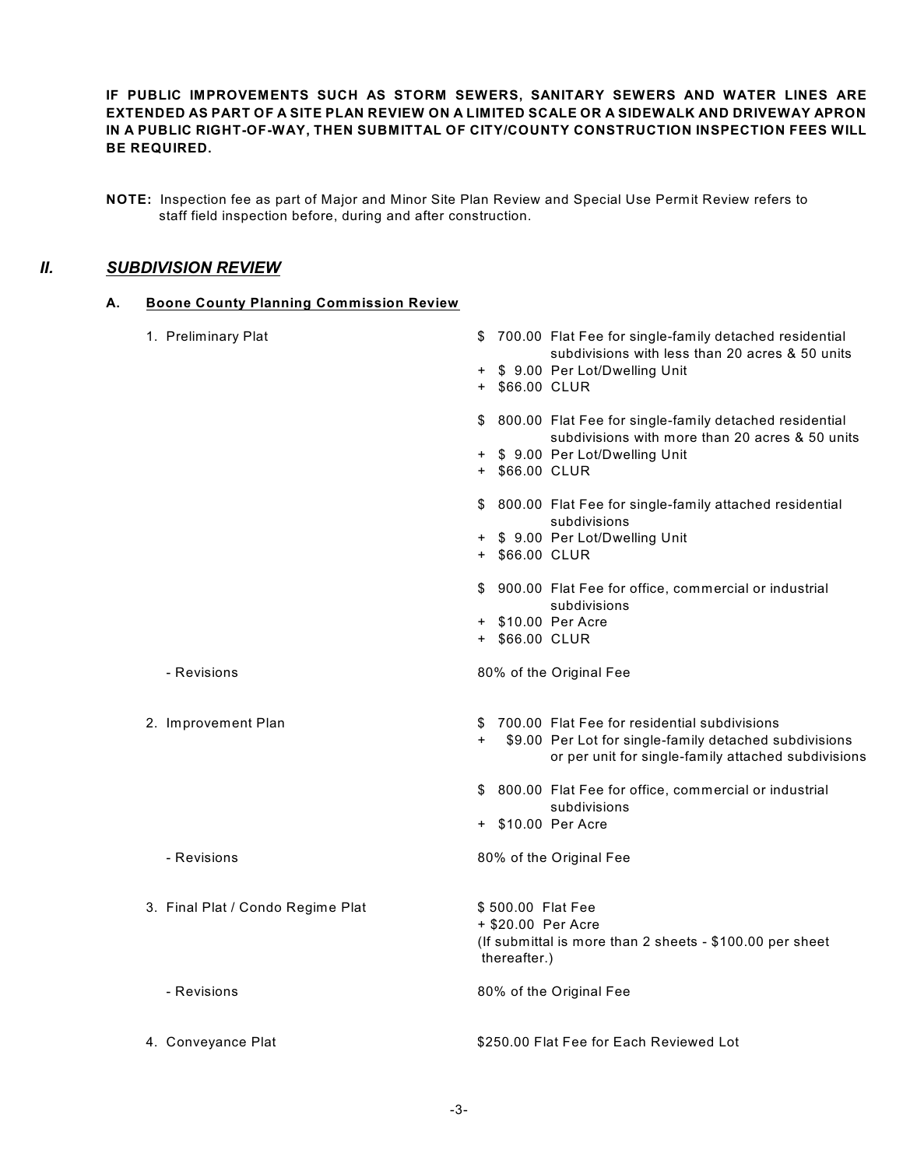**IF PUBLIC IMPROVEMENTS SUCH AS STORM SEWERS, SANITARY SEWERS AND WATER LINES ARE EXTENDED AS PART OF A SITE PLAN REVIEW ON A LIMITED SCALE OR A SIDEWALK AND DRIVEWAY APRON IN A PUBLIC RIGHT-OF-WAY, THEN SUBMITTAL OF CITY/COUNTY CONSTRUCTION INSPECTION FEES WILL BE REQUIRED.**

**NOTE:** Inspection fee as part of Major and Minor Site Plan Review and Special Use Permit Review refers to staff field inspection before, during and after construction.

## *II. SUBDIVISION REVIEW*

#### **A. Boone County Planning Commission Review**

| 1. Preliminary Plat               | \$700.00 Flat Fee for single-family detached residential<br>subdivisions with less than 20 acres & 50 units                                                            |
|-----------------------------------|------------------------------------------------------------------------------------------------------------------------------------------------------------------------|
|                                   | + \$ 9.00 Per Lot/Dwelling Unit<br>+ \$66.00 CLUR                                                                                                                      |
|                                   | 800.00 Flat Fee for single-family detached residential<br>\$<br>subdivisions with more than 20 acres & 50 units                                                        |
|                                   | + \$ 9.00 Per Lot/Dwelling Unit<br>+ \$66.00 CLUR                                                                                                                      |
|                                   | 800.00 Flat Fee for single-family attached residential<br>\$<br>subdivisions                                                                                           |
|                                   | + \$ 9.00 Per Lot/Dwelling Unit<br>+ \$66.00 CLUR                                                                                                                      |
|                                   | \$ 900.00 Flat Fee for office, commercial or industrial<br>subdivisions                                                                                                |
|                                   | + \$10.00 Per Acre<br>+ \$66.00 CLUR                                                                                                                                   |
| - Revisions                       | 80% of the Original Fee                                                                                                                                                |
| 2. Improvement Plan               | \$700.00 Flat Fee for residential subdivisions<br>$+$<br>\$9.00 Per Lot for single-family detached subdivisions<br>or per unit for single-family attached subdivisions |
|                                   | \$ 800.00 Flat Fee for office, commercial or industrial<br>subdivisions                                                                                                |
|                                   | + \$10.00 Per Acre                                                                                                                                                     |
| - Revisions                       | 80% of the Original Fee                                                                                                                                                |
| 3. Final Plat / Condo Regime Plat | \$500.00 Flat Fee<br>+ \$20.00 Per Acre<br>(If submittal is more than 2 sheets - \$100.00 per sheet<br>thereafter.)                                                    |
| - Revisions                       | 80% of the Original Fee                                                                                                                                                |
| 4. Conveyance Plat                | \$250.00 Flat Fee for Each Reviewed Lot                                                                                                                                |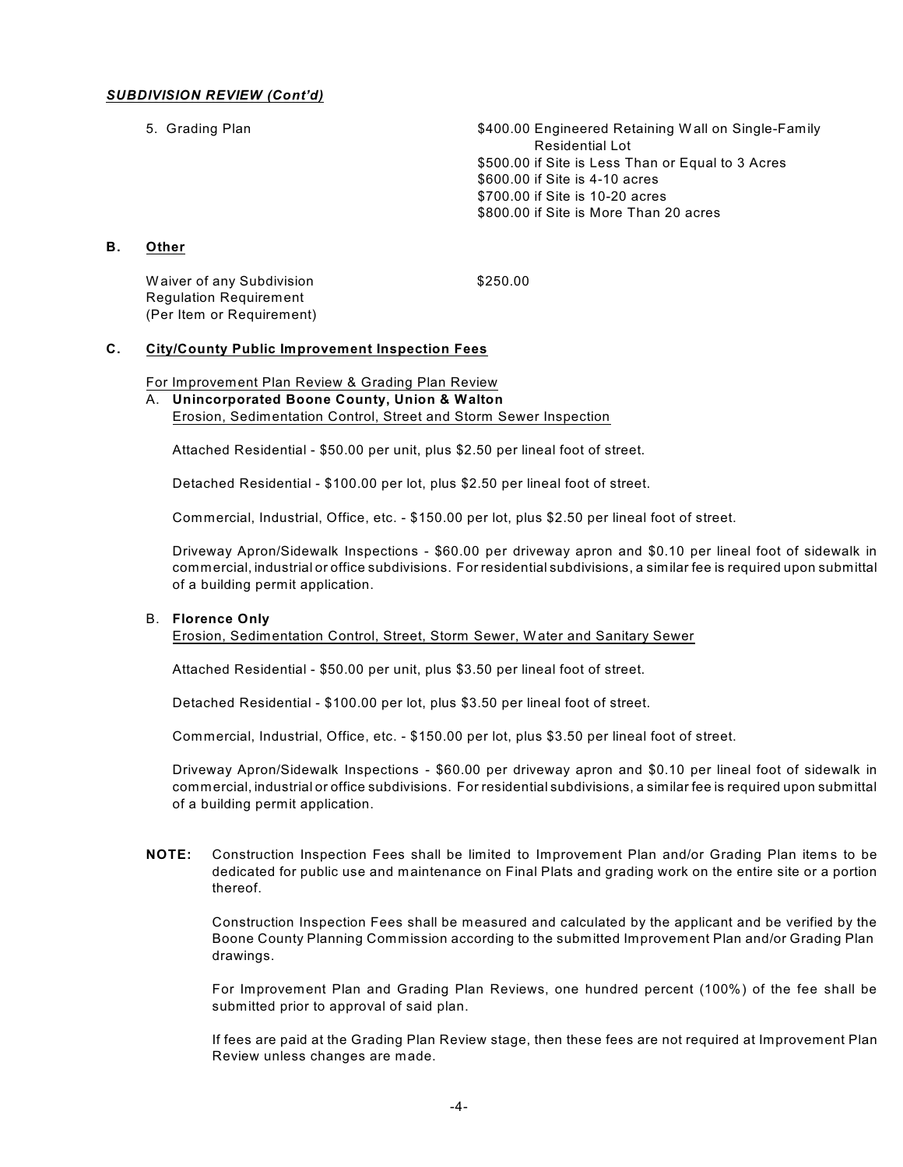#### *SUBDIVISION REVIEW (Cont'd)*

5. Grading Plan **by Call 2018** S400.00 Engineered Retaining W all on Single-Family Residential Lot \$500.00 if Site is Less Than or Equal to 3 Acres \$600.00 if Site is 4-10 acres \$700.00 if Site is 10-20 acres \$800.00 if Site is More Than 20 acres

#### **B. Other**

Waiver of any Subdivision  $$250.00$ Regulation Requirement (Per Item or Requirement)

#### **C. City/County Public Improvement Inspection Fees**

#### For Improvement Plan Review & Grading Plan Review

#### A. **Unincorporated Boone County, Union & Walton**

Erosion, Sedimentation Control, Street and Storm Sewer Inspection

Attached Residential - \$50.00 per unit, plus \$2.50 per lineal foot of street.

Detached Residential - \$100.00 per lot, plus \$2.50 per lineal foot of street.

Commercial, Industrial, Office, etc. - \$150.00 per lot, plus \$2.50 per lineal foot of street.

Driveway Apron/Sidewalk Inspections - \$60.00 per driveway apron and \$0.10 per lineal foot of sidewalk in commercial, industrial or office subdivisions. For residential subdivisions, a similar fee is required upon submittal of a building permit application.

#### B. **Florence Only**

Erosion, Sedimentation Control, Street, Storm Sewer, W ater and Sanitary Sewer

Attached Residential - \$50.00 per unit, plus \$3.50 per lineal foot of street.

Detached Residential - \$100.00 per lot, plus \$3.50 per lineal foot of street.

Commercial, Industrial, Office, etc. - \$150.00 per lot, plus \$3.50 per lineal foot of street.

Driveway Apron/Sidewalk Inspections - \$60.00 per driveway apron and \$0.10 per lineal foot of sidewalk in commercial, industrial or office subdivisions. For residential subdivisions, a similar fee is required upon submittal of a building permit application.

**NOTE:** Construction Inspection Fees shall be limited to Improvement Plan and/or Grading Plan items to be dedicated for public use and maintenance on Final Plats and grading work on the entire site or a portion thereof.

Construction Inspection Fees shall be measured and calculated by the applicant and be verified by the Boone County Planning Commission according to the submitted Improvement Plan and/or Grading Plan drawings.

For Improvement Plan and Grading Plan Reviews, one hundred percent (100%) of the fee shall be submitted prior to approval of said plan.

If fees are paid at the Grading Plan Review stage, then these fees are not required at Improvement Plan Review unless changes are made.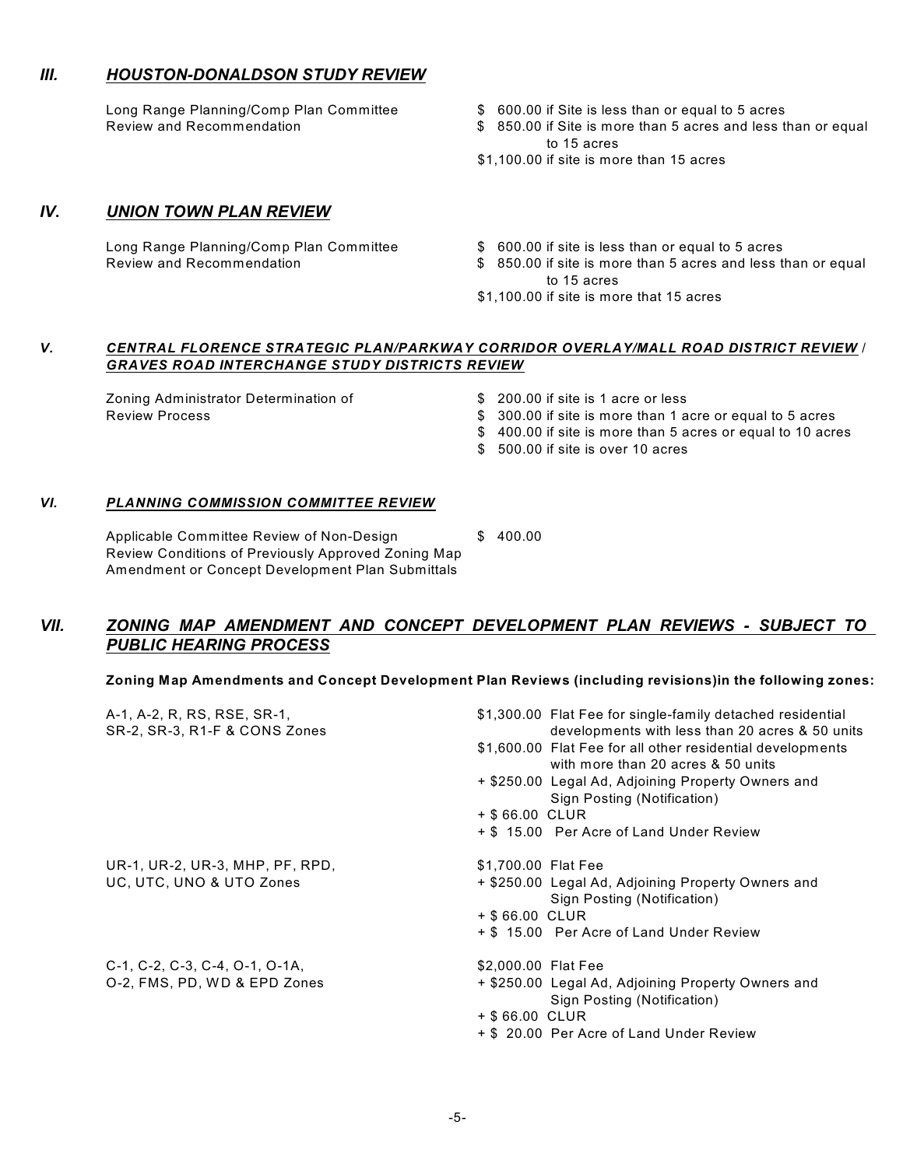#### *III. HOUSTON-DONALDSON STUDY REVIEW*

- Long Range Planning/Comp Plan Committee  $\qquad \qquad$  \$ 600.00 if Site is less than or equal to 5 acres
- Review and Recommendation **\$** 850.00 if Site is more than 5 acres and less than or equal to 15 acres
	- \$1,100.00 if site is more than 15 acres

#### *IV***.** *UNION TOWN PLAN REVIEW*

- Long Range Planning/Comp Plan Committee  $\qquad \qquad$  \$ 600.00 if site is less than or equal to 5 acres
- Review and Recommendation **\$** 850.00 if site is more than 5 acres and less than or equal to 15 acres
	- \$1,100.00 if site is more that 15 acres

#### *V. CENTRAL FLORENCE STRATEGIC PLAN/PARKWAY CORRIDOR OVERLAY/MALL ROAD DISTRICT REVIEW* / *GRAVES ROAD INTERCHANGE STUDY DISTRICTS REVIEW*

Zoning Administrator Determination of \$ 200.00 if site is 1 acre or less

- 
- Review Process \$ 300.00 if site is more than 1 acre or equal to 5 acres
	- \$ 400.00 if site is more than 5 acres or equal to 10 acres
	- \$ 500.00 if site is over 10 acres

#### *VI. PLANNING COMMISSION COMMITTEE REVIEW*

Applicable Committee Review of Non-Design \$ 400.00 Review Conditions of Previously Approved Zoning Map Amendment or Concept Development Plan Submittals

## *VII. ZONING MAP AMENDMENT AND CONCEPT DEVELOPMENT PLAN REVIEWS - SUBJECT TO PUBLIC HEARING PROCESS*

#### **Zoning Map Amendments and Concept Development Plan Reviews (including revisions)in the following zones:**

| A-1, A-2, R, RS, RSE, SR-1,<br>SR-2, SR-3, R1-F & CONS Zones | \$1,300.00 Flat Fee for single-family detached residential<br>developments with less than 20 acres & 50 units |
|--------------------------------------------------------------|---------------------------------------------------------------------------------------------------------------|
|                                                              | \$1,600.00 Flat Fee for all other residential developments<br>with more than 20 acres & 50 units              |
|                                                              | + \$250.00 Legal Ad, Adjoining Property Owners and<br>Sign Posting (Notification)                             |
|                                                              | + \$66.00 CLUR                                                                                                |
|                                                              | + \$15.00 Per Acre of Land Under Review                                                                       |
| UR-1, UR-2, UR-3, MHP, PF, RPD,                              | \$1,700.00 Flat Fee                                                                                           |
| UC, UTC, UNO & UTO Zones                                     | + \$250.00 Legal Ad, Adjoining Property Owners and<br>Sign Posting (Notification)                             |
|                                                              | + \$66.00 CLUR                                                                                                |
|                                                              | + \$15.00 Per Acre of Land Under Review                                                                       |
| C-1, C-2, C-3, C-4, O-1, O-1A,                               | \$2,000.00 Flat Fee                                                                                           |
| O-2, FMS, PD, WD & EPD Zones                                 | + \$250.00 Legal Ad, Adjoining Property Owners and<br>Sign Posting (Notification)                             |
|                                                              | + \$66.00 CLUR                                                                                                |
|                                                              | + \$ 20.00 Per Acre of Land Under Review                                                                      |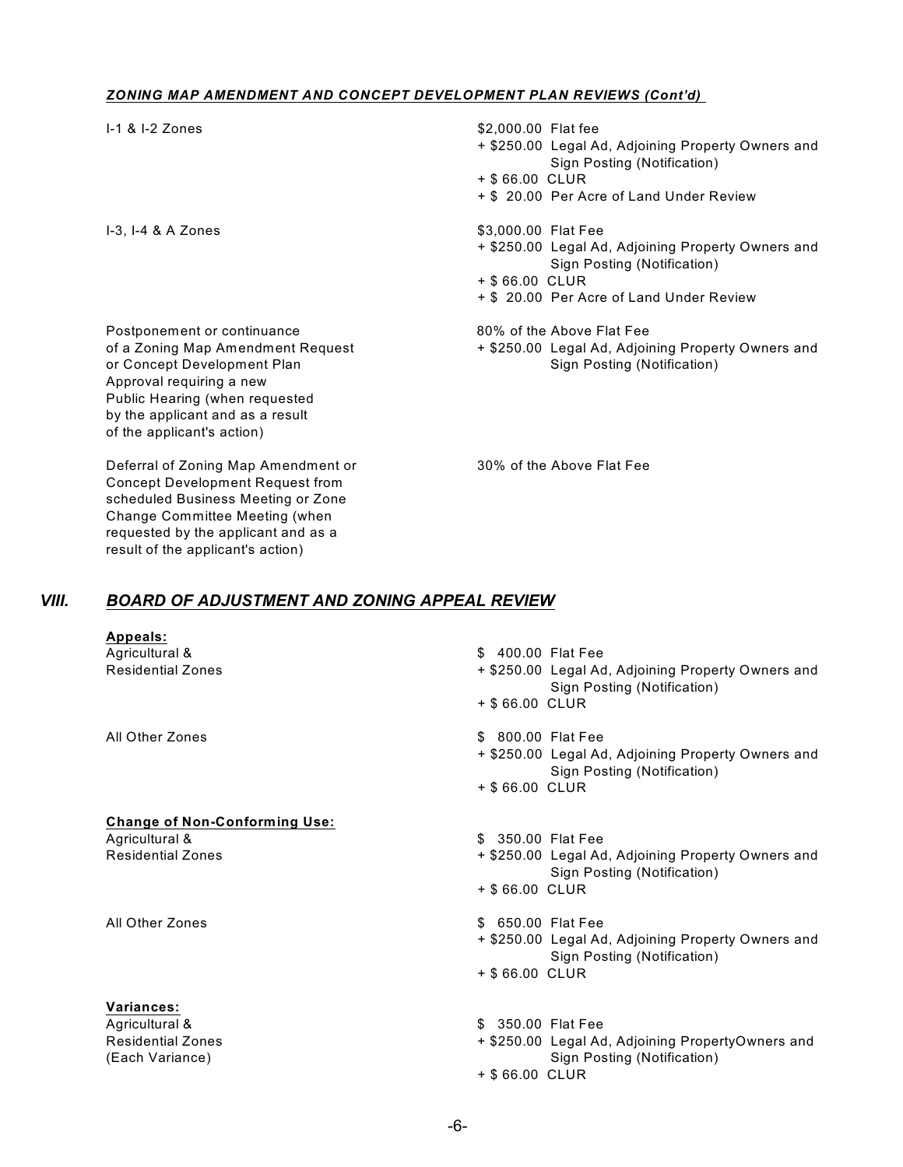#### *ZONING MAP AMENDMENT AND CONCEPT DEVELOPMENT PLAN REVIEWS (Cont'd)*

| $-1$ & $-2$ Zones                                                                                                                                                                                                               | \$2,000.00 Flat fee<br>+ \$250.00 Legal Ad, Adjoining Property Owners and<br>Sign Posting (Notification)<br>+ \$66.00 CLUR<br>+ \$ 20.00 Per Acre of Land Under Review |
|---------------------------------------------------------------------------------------------------------------------------------------------------------------------------------------------------------------------------------|------------------------------------------------------------------------------------------------------------------------------------------------------------------------|
| $I-3$ , $I-4$ & A Zones                                                                                                                                                                                                         | \$3,000.00 Flat Fee<br>+ \$250.00 Legal Ad, Adjoining Property Owners and<br>Sign Posting (Notification)<br>+ \$66.00 CLUR<br>+ \$ 20.00 Per Acre of Land Under Review |
| Postponement or continuance<br>of a Zoning Map Amendment Request<br>or Concept Development Plan<br>Approval requiring a new<br>Public Hearing (when requested<br>by the applicant and as a result<br>of the applicant's action) | 80% of the Above Flat Fee<br>+ \$250.00 Legal Ad, Adjoining Property Owners and<br>Sign Posting (Notification)                                                         |

Deferral of Zoning Map Amendment or 30% of the Above Flat Fee Concept Development Request from scheduled Business Meeting or Zone Change Committee Meeting (when requested by the applicant and as a result of the applicant's action)

### *VIII. BOARD OF ADJUSTMENT AND ZONING APPEAL REVIEW*

| Appeals:<br>Agricultural &<br><b>Residential Zones</b> | \$ 400.00 Flat Fee<br>+ \$250.00 Legal Ad, Adjoining Property Owners and<br>Sign Posting (Notification)<br>+ \$66.00 CLUR |
|--------------------------------------------------------|---------------------------------------------------------------------------------------------------------------------------|
| All Other Zones                                        | \$ 800.00 Flat Fee<br>+ \$250.00 Legal Ad, Adjoining Property Owners and<br>Sign Posting (Notification)<br>+ \$66.00 CLUR |
| <b>Change of Non-Conforming Use:</b>                   |                                                                                                                           |
| Agricultural &                                         | \$ 350.00 Flat Fee                                                                                                        |
| <b>Residential Zones</b>                               | + \$250.00 Legal Ad, Adjoining Property Owners and<br>Sign Posting (Notification)                                         |
|                                                        | + \$66.00 CLUR                                                                                                            |
| All Other Zones                                        | \$ 650.00 Flat Fee                                                                                                        |
|                                                        | + \$250.00 Legal Ad, Adjoining Property Owners and<br>Sign Posting (Notification)                                         |
|                                                        | + \$66.00 CLUR                                                                                                            |
| Variances:                                             |                                                                                                                           |
| Agricultural &                                         | \$ 350.00 Flat Fee                                                                                                        |
| <b>Residential Zones</b>                               | + \$250.00 Legal Ad, Adjoining PropertyOwners and                                                                         |
| (Each Variance)                                        | Sign Posting (Notification)<br>+ \$66.00 CLUR                                                                             |
|                                                        |                                                                                                                           |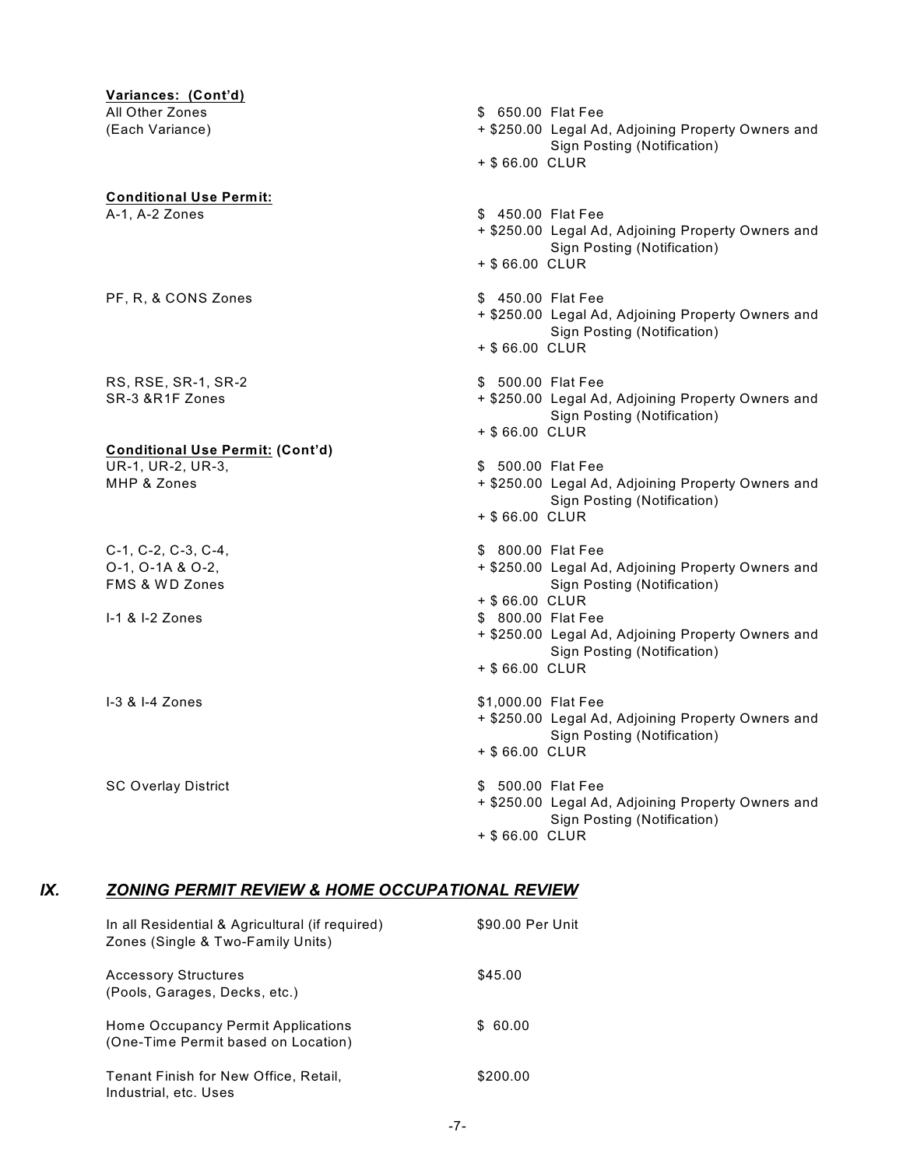**Variances: (Cont'd)** All Other Zones **\$ 650.00 Flat Fee** (Each Variance) + \$250.00 Legal Ad, Adjoining Property Owners and Sign Posting (Notification) + \$ 66.00 CLUR **Conditional Use Permit:** A-1, A-2 Zones **by a strategies and the Contract A-1**, A-2 Zones **by A-1**, A-2 Zones + \$250.00 Legal Ad, Adjoining Property Owners and Sign Posting (Notification) + \$ 66.00 CLUR PF, R, & CONS Zones  $$ 450.00$  Flat Fee + \$250.00 Legal Ad, Adjoining Property Owners and Sign Posting (Notification) + \$ 66.00 CLUR RS, RSE, SR-1, SR-2 \$ 500.00 Flat Fee SR-3 &R1F Zones **Access 2006** 2007 + \$250.00 Legal Ad, Adjoining Property Owners and Sign Posting (Notification) + \$ 66.00 CLUR **Conditional Use Permit: (Cont'd)** UR-1, UR-2, UR-3,  $\overline{S}$  500.00 Flat Fee MHP & Zones **Access 2006** 2007 + \$250.00 Legal Ad, Adjoining Property Owners and Sign Posting (Notification) + \$ 66.00 CLUR C-1, C-2, C-3, C-4, \$ 800.00 Flat Fee O-1, O-1A & O-2, + \$250.00 Legal Ad, Adjoining Property Owners and FMS & WD Zones **Sign Posting (Notification)** Sign Posting (Notification) + \$ 66.00 CLUR 1-1 & I-2 Zones \$ 800.00 Flat Fee + \$250.00 Legal Ad, Adjoining Property Owners and Sign Posting (Notification) + \$ 66.00 CLUR I-3 & I-4 Zones \$1,000.00 Flat Fee + \$250.00 Legal Ad, Adjoining Property Owners and Sign Posting (Notification) + \$ 66.00 CLUR SC Overlay District **\$ 500.00 Flat Fee** + \$250.00 Legal Ad, Adjoining Property Owners and Sign Posting (Notification) + \$ 66.00 CLUR

#### *IX. ZONING PERMIT REVIEW & HOME OCCUPATIONAL REVIEW*

| In all Residential & Agricultural (if required)<br>Zones (Single & Two-Family Units) | \$90.00 Per Unit |
|--------------------------------------------------------------------------------------|------------------|
| <b>Accessory Structures</b><br>(Pools, Garages, Decks, etc.)                         | \$45.00          |
| Home Occupancy Permit Applications<br>(One-Time Permit based on Location)            | \$ 60.00         |
| Tenant Finish for New Office, Retail,<br>Industrial, etc. Uses                       | \$200.00         |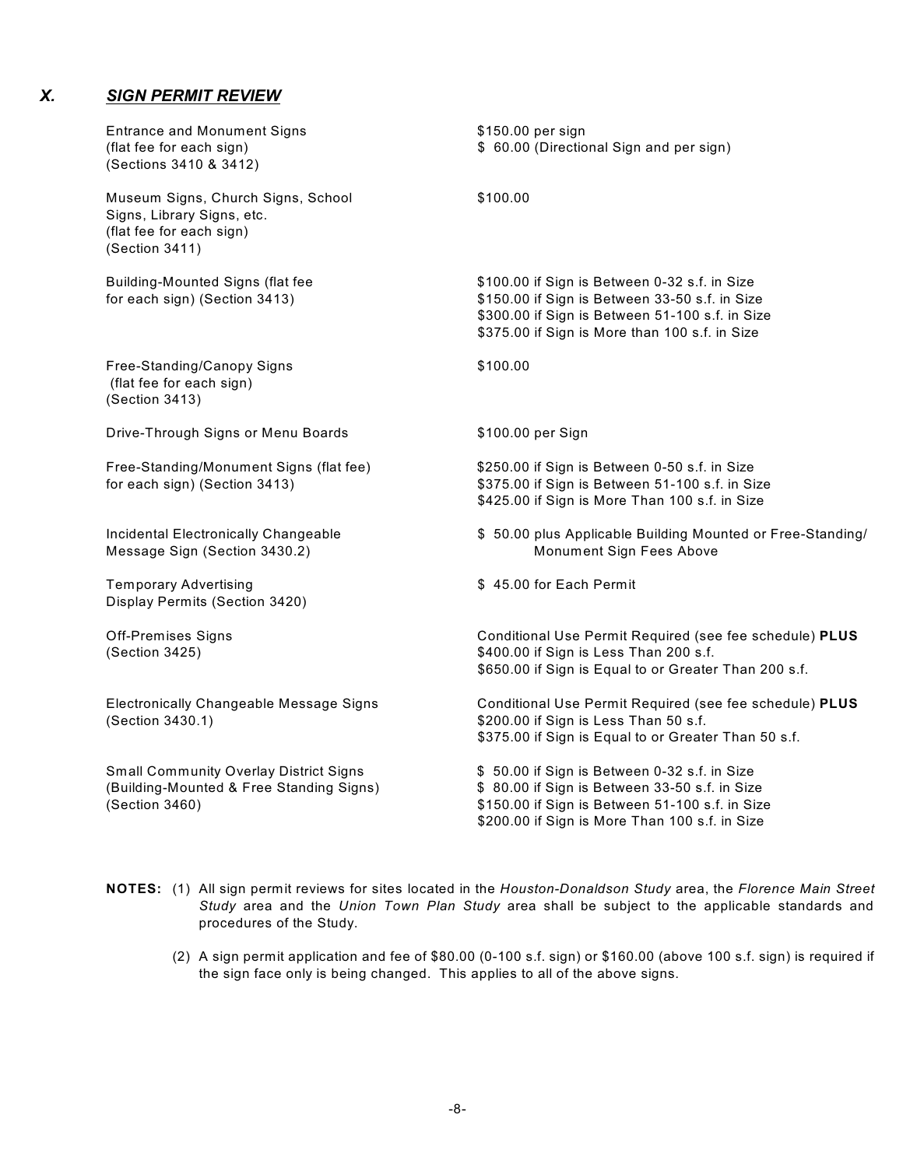## *X. SIGN PERMIT REVIEW*

| <b>Entrance and Monument Signs</b><br>(flat fee for each sign)<br>(Sections 3410 & 3412)                       | \$150.00 per sign<br>\$ 60.00 (Directional Sign and per sign)                                                                                                                                        |
|----------------------------------------------------------------------------------------------------------------|------------------------------------------------------------------------------------------------------------------------------------------------------------------------------------------------------|
| Museum Signs, Church Signs, School<br>Signs, Library Signs, etc.<br>(flat fee for each sign)<br>(Section 3411) | \$100.00                                                                                                                                                                                             |
| <b>Building-Mounted Signs (flat fee</b><br>for each sign) (Section 3413)                                       | \$100.00 if Sign is Between 0-32 s.f. in Size<br>\$150.00 if Sign is Between 33-50 s.f. in Size<br>\$300.00 if Sign is Between 51-100 s.f. in Size<br>\$375.00 if Sign is More than 100 s.f. in Size |
| Free-Standing/Canopy Signs<br>(flat fee for each sign)<br>(Section 3413)                                       | \$100.00                                                                                                                                                                                             |
| Drive-Through Signs or Menu Boards                                                                             | \$100.00 per Sign                                                                                                                                                                                    |
| Free-Standing/Monument Signs (flat fee)<br>for each sign) (Section 3413)                                       | \$250.00 if Sign is Between 0-50 s.f. in Size<br>\$375.00 if Sign is Between 51-100 s.f. in Size<br>\$425.00 if Sign is More Than 100 s.f. in Size                                                   |
| Incidental Electronically Changeable<br>Message Sign (Section 3430.2)                                          | \$ 50.00 plus Applicable Building Mounted or Free-Standing/<br>Monument Sign Fees Above                                                                                                              |
| <b>Temporary Advertising</b><br>Display Permits (Section 3420)                                                 | \$45.00 for Each Permit                                                                                                                                                                              |
| <b>Off-Premises Signs</b><br>(Section 3425)                                                                    | Conditional Use Permit Required (see fee schedule) PLUS<br>\$400.00 if Sign is Less Than 200 s.f.<br>\$650.00 if Sign is Equal to or Greater Than 200 s.f.                                           |
| Electronically Changeable Message Signs<br>(Section 3430.1)                                                    | Conditional Use Permit Required (see fee schedule) PLUS<br>\$200.00 if Sign is Less Than 50 s.f.<br>\$375.00 if Sign is Equal to or Greater Than 50 s.f.                                             |
| <b>Small Community Overlay District Signs</b><br>(Building-Mounted & Free Standing Signs)<br>(Section 3460)    | \$50.00 if Sign is Between 0-32 s.f. in Size<br>\$80.00 if Sign is Between 33-50 s.f. in Size<br>\$150.00 if Sign is Between 51-100 s.f. in Size<br>\$200.00 if Sign is More Than 100 s.f. in Size   |

- **NOTES:** (1) All sign permit reviews for sites located in the *Houston-Donaldson Study* area, the *Florence Main Street Study* area and the *Union Town Plan Study* area shall be subject to the applicable standards and procedures of the Study.
	- (2) A sign permit application and fee of \$80.00 (0-100 s.f. sign) or \$160.00 (above 100 s.f. sign) is required if the sign face only is being changed. This applies to all of the above signs.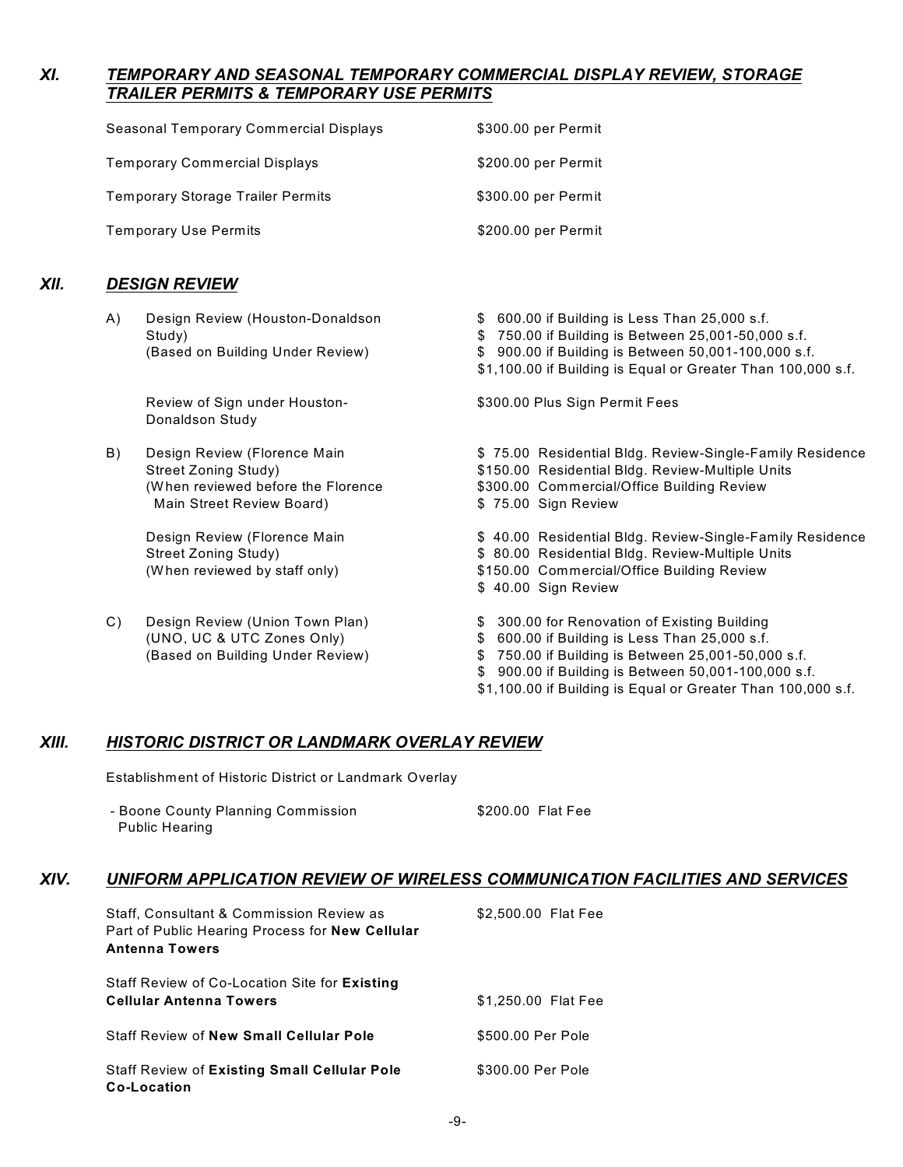## *XI. TEMPORARY AND SEASONAL TEMPORARY COMMERCIAL DISPLAY REVIEW, STORAGE TRAILER PERMITS & TEMPORARY USE PERMITS*

| Seasonal Temporary Commercial Displays   | \$300.00 per Permit |
|------------------------------------------|---------------------|
| <b>Temporary Commercial Displays</b>     | \$200.00 per Permit |
| <b>Temporary Storage Trailer Permits</b> | \$300.00 per Permit |
| <b>Temporary Use Permits</b>             | \$200.00 per Permit |

### *XII. DESIGN REVIEW*

- A) Design Review (Houston-Donaldson \$ 600.00 if Building is Less Than 25,000 s.f. Study) \$ 750.00 if Building is Between 25,001-50,000 s.f. (Based on Building Under Review) \$ 900.00 if Building is Between 50,001-100,000 s.f. \$1,100.00 if Building is Equal or Greater Than 100,000 s.f. Review of Sign under Houston- \$300.00 Plus Sign Permit Fees Donaldson Study B) Design Review (Florence Main **\$ 75.00 Residential Bldg. Review-Single-Family Residence** Street Zoning Study) \$150.00 Residential Bldg. Review-Multiple Units (W hen reviewed before the Florence \$300.00 Commercial/Office Building Review Main Street Review Board) **\$75.00** Sign Review Design Review (Florence Main Theorem St. 40.00 Residential Bldg. Review-Single-Family Residence Street Zoning Study) **\$** 80.00 Residential Bldg. Review-Multiple Units (W hen reviewed by staff only) \$150.00 Commercial/Office Building Review \$ 40.00 Sign Review C) Design Review (Union Town Plan) \$ 300.00 for Renovation of Existing Building (UNO, UC & UTC Zones Only) \$ 600.00 if Building is Less Than 25,000 s.f. (Based on Building Under Review) \$ 750.00 if Building is Between 25,001-50,000 s.f.
	- \$ 900.00 if Building is Between 50,001-100,000 s.f.
	- \$1,100.00 if Building is Equal or Greater Than 100,000 s.f.

#### *XIII. HISTORIC DISTRICT OR LANDMARK OVERLAY REVIEW*

Establishment of Historic District or Landmark Overlay

| - Boone County Planning Commission | \$200.00 Flat Fee |  |
|------------------------------------|-------------------|--|
| <b>Public Hearing</b>              |                   |  |

#### *XIV. UNIFORM APPLICATION REVIEW OF WIRELESS COMMUNICATION FACILITIES AND SERVICES*

| Staff, Consultant & Commission Review as<br>Part of Public Hearing Process for New Cellular<br><b>Antenna Towers</b> | \$2,500.00 Flat Fee |
|----------------------------------------------------------------------------------------------------------------------|---------------------|
| Staff Review of Co-Location Site for Existing<br><b>Cellular Antenna Towers</b>                                      | \$1,250,00 Flat Fee |
| <b>Staff Review of New Small Cellular Pole</b>                                                                       | \$500.00 Per Pole   |
| <b>Staff Review of Existing Small Cellular Pole</b><br>Co-Location                                                   | \$300.00 Per Pole   |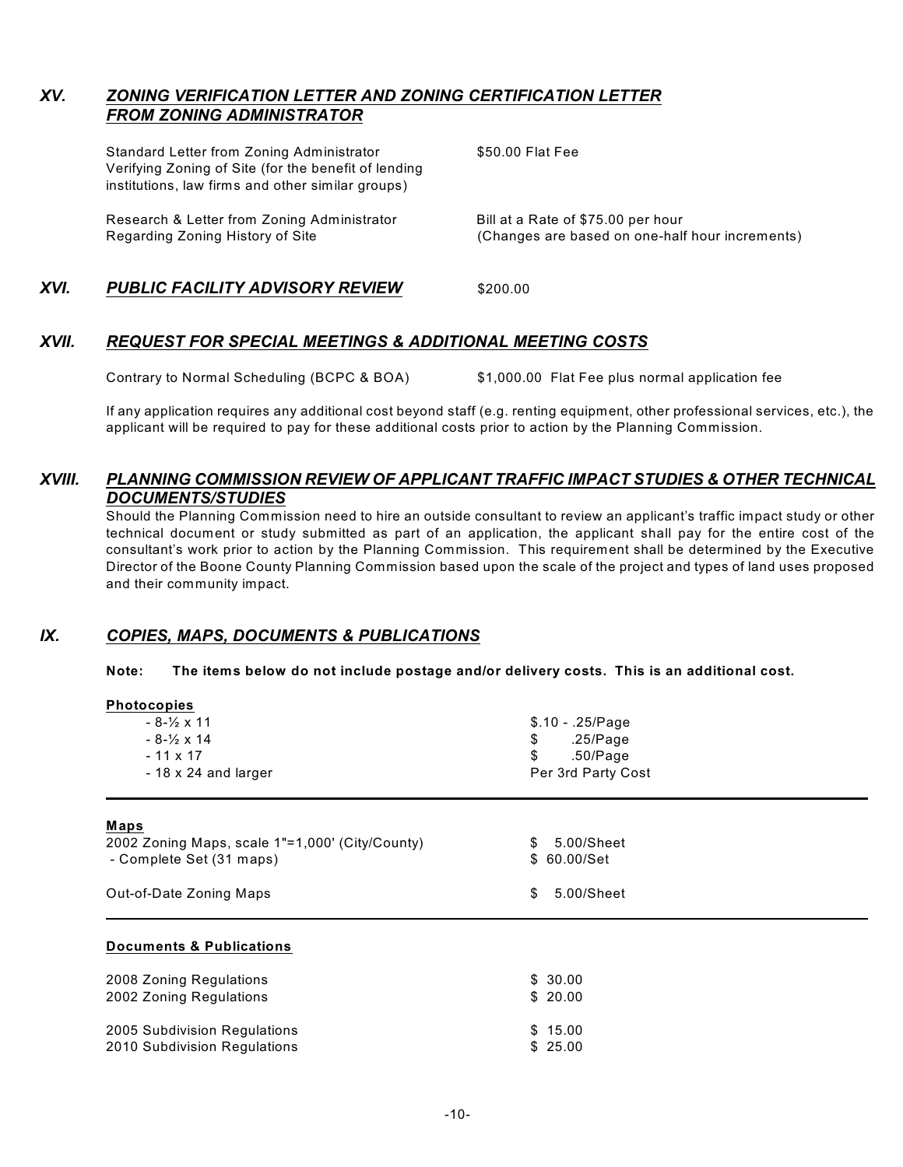## *XV. ZONING VERIFICATION LETTER AND ZONING CERTIFICATION LETTER FROM ZONING ADMINISTRATOR*

Standard Letter from Zoning Administrator \$50.00 Flat Fee Verifying Zoning of Site (for the benefit of lending institutions, law firms and other similar groups) Research & Letter from Zoning Administrator Bill at a Rate of \$75.00 per hour Regarding Zoning History of Site (Changes are based on one-half hour increments)

## **XVI. PUBLIC FACILITY ADVISORY REVIEW** \$200.00

### *XVII. REQUEST FOR SPECIAL MEETINGS & ADDITIONAL MEETING COSTS*

Contrary to Normal Scheduling (BCPC & BOA) \$1,000.00 Flat Fee plus normal application fee

If any application requires any additional cost beyond staff (e.g. renting equipment, other professional services, etc.), the applicant will be required to pay for these additional costs prior to action by the Planning Commission.

## *XVIII. PLANNING COMMISSION REVIEW OF APPLICANT TRAFFIC IMPACT STUDIES & OTHER TECHNICAL DOCUMENTS/STUDIES*

Should the Planning Commission need to hire an outside consultant to review an applicant's traffic impact study or other technical document or study submitted as part of an application, the applicant shall pay for the entire cost of the consultant's work prior to action by the Planning Commission. This requirement shall be determined by the Executive Director of the Boone County Planning Commission based upon the scale of the project and types of land uses proposed and their community impact.

#### *IX. COPIES, MAPS, DOCUMENTS & PUBLICATIONS*

#### **Note: The items below do not include postage and/or delivery costs. This is an additional cost.**

| <b>Photocopies</b>                              |                    |  |  |  |
|-------------------------------------------------|--------------------|--|--|--|
| $-8 - \frac{1}{2} \times 11$                    | $$.10 - .25/Page$  |  |  |  |
| $-8-1/2 \times 14$                              | \$<br>.25/Page     |  |  |  |
| $-11 \times 17$                                 | \$<br>.50/Page     |  |  |  |
| - 18 x 24 and larger                            | Per 3rd Party Cost |  |  |  |
|                                                 |                    |  |  |  |
| <b>Maps</b>                                     |                    |  |  |  |
| 2002 Zoning Maps, scale 1"=1,000' (City/County) | 5.00/Sheet<br>\$   |  |  |  |
| - Complete Set (31 maps)                        | \$ 60.00/Set       |  |  |  |
|                                                 |                    |  |  |  |
| Out-of-Date Zoning Maps                         | \$<br>5.00/Sheet   |  |  |  |
|                                                 |                    |  |  |  |
|                                                 |                    |  |  |  |
| <b>Documents &amp; Publications</b>             |                    |  |  |  |
| 2008 Zoning Regulations                         | \$30.00            |  |  |  |
| 2002 Zoning Regulations                         | \$20.00            |  |  |  |
|                                                 |                    |  |  |  |
| 2005 Subdivision Regulations                    | \$15.00            |  |  |  |
| 2010 Subdivision Regulations                    | \$25.00            |  |  |  |
|                                                 |                    |  |  |  |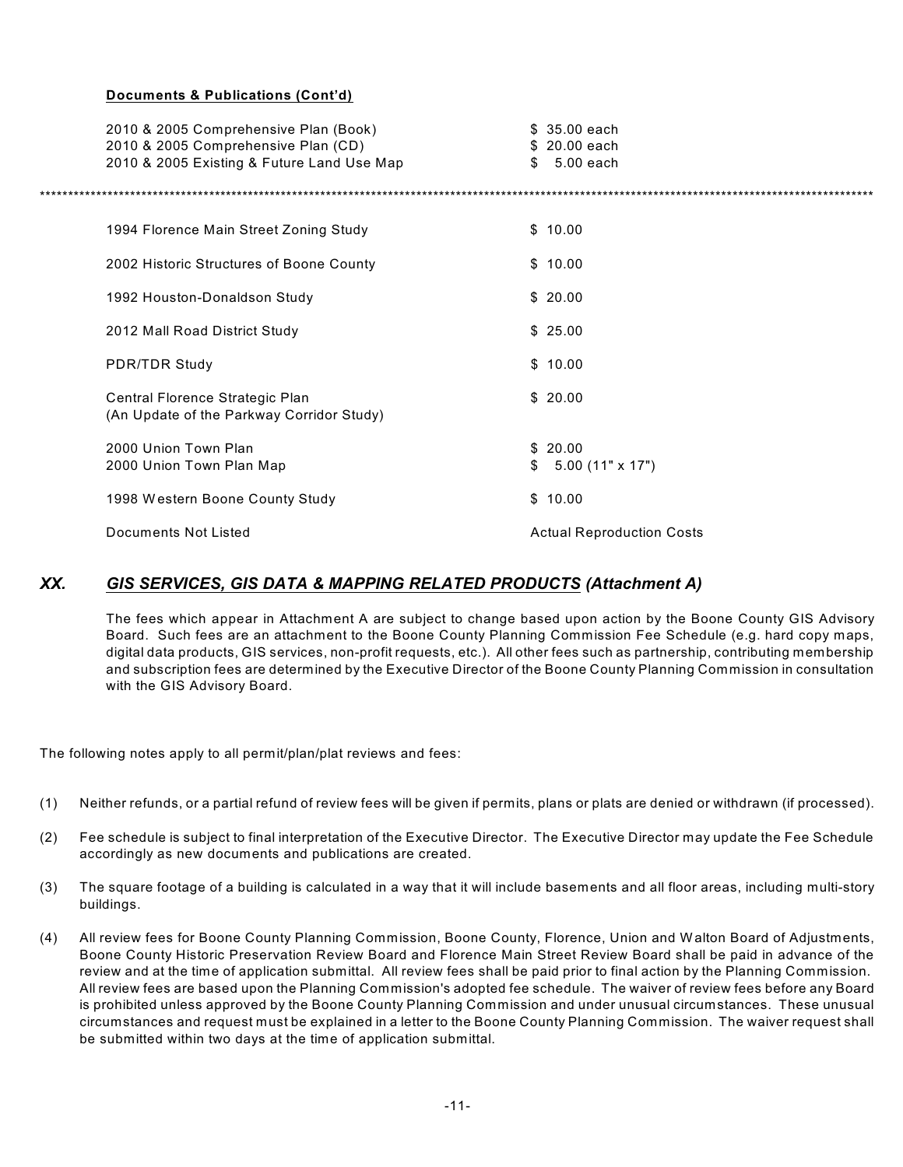#### **Documents & Publications (Cont'd)**

| 2010 & 2005 Comprehensive Plan (Book)<br>2010 & 2005 Comprehensive Plan (CD)<br>2010 & 2005 Existing & Future Land Use Map | $$35.00$ each<br>\$20.00 each<br>5.00 each<br>\$ |
|----------------------------------------------------------------------------------------------------------------------------|--------------------------------------------------|
|                                                                                                                            |                                                  |
| 1994 Florence Main Street Zoning Study                                                                                     | \$10.00                                          |
| 2002 Historic Structures of Boone County                                                                                   | \$10.00                                          |
| 1992 Houston-Donaldson Study                                                                                               | \$20.00                                          |
| 2012 Mall Road District Study                                                                                              | \$25.00                                          |
| <b>PDR/TDR Study</b>                                                                                                       | \$10.00                                          |
| Central Florence Strategic Plan<br>(An Update of the Parkway Corridor Study)                                               | \$20.00                                          |
| 2000 Union Town Plan                                                                                                       | \$20.00                                          |
| 2000 Union Town Plan Map                                                                                                   | $$5.00 (11" \times 17")$                         |
| 1998 Western Boone County Study                                                                                            | \$10.00                                          |
| Documents Not Listed                                                                                                       | <b>Actual Reproduction Costs</b>                 |
|                                                                                                                            |                                                  |

## *XX. GIS SERVICES, GIS DATA & MAPPING RELATED PRODUCTS (Attachment A)*

The fees which appear in Attachment A are subject to change based upon action by the Boone County GIS Advisory Board. Such fees are an attachment to the Boone County Planning Commission Fee Schedule (e.g. hard copy maps, digital data products, GIS services, non-profit requests, etc.). All other fees such as partnership, contributing membership and subscription fees are determined by the Executive Director of the Boone County Planning Commission in consultation with the GIS Advisory Board.

The following notes apply to all permit/plan/plat reviews and fees:

- (1) Neither refunds, or a partial refund of review fees will be given if permits, plans or plats are denied or withdrawn (if processed).
- (2) Fee schedule is subject to final interpretation of the Executive Director. The Executive Director may update the Fee Schedule accordingly as new documents and publications are created.
- (3) The square footage of a building is calculated in a way that it will include basements and all floor areas, including multi-story buildings.
- (4) All review fees for Boone County Planning Commission, Boone County, Florence, Union and W alton Board of Adjustments, Boone County Historic Preservation Review Board and Florence Main Street Review Board shall be paid in advance of the review and at the time of application submittal. All review fees shall be paid prior to final action by the Planning Commission. All review fees are based upon the Planning Commission's adopted fee schedule. The waiver of review fees before any Board is prohibited unless approved by the Boone County Planning Commission and under unusual circumstances. These unusual circumstances and request must be explained in a letter to the Boone County Planning Commission. The waiver request shall be submitted within two days at the time of application submittal.